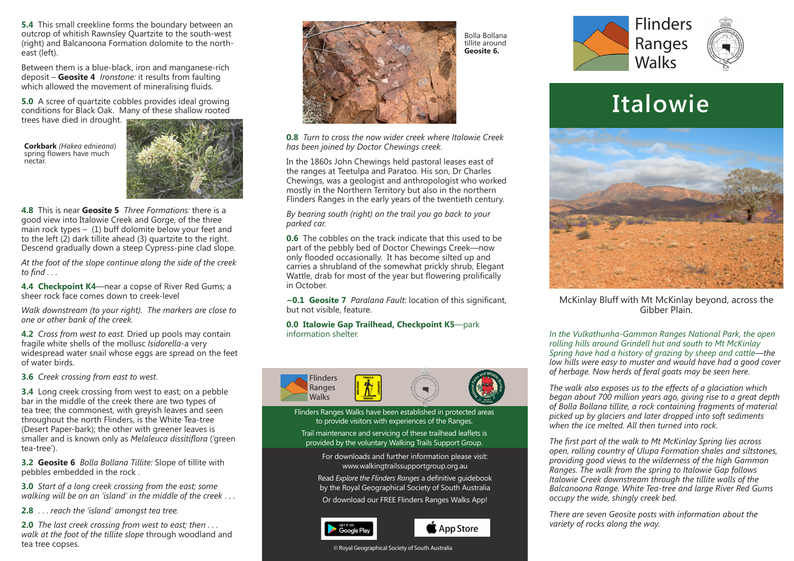**5.4** This small creekline forms the boundary between an outcrop of whitish Rawnsley Quartzite to the south-west (right) and Balcanoona Formation dolomite to the northeast (left).

Between them is a blue-black, iron and manganese-rich deposit – **Geosite 4** *Ironstone:* it results from faulting which allowed the movement of mineralising fluids.

**5.0** A scree of quartzite cobbles provides ideal growing conditions for Black Oak. Many of these shallow rooted trees have died in drought.

**Corkbark** *(Hakea ednieana*) spring flowers have much nectar.



**4.8** This is near **Geosite 5** *Three Formations:* there is a good view into Italowie Creek and Gorge, of the three main rock types  $-$  (1) buff dolomite below your feet and to the left (2) dark tillite ahead (3) quartzite to the right. Descend gradually down a steep Cypress-pine clad slope.

*At the foot of the slope continue along the side of the creek to find . . .*

**4.4 Checkpoint K4**—near a copse of River Red Gums; a sheer rock face comes down to creek-level

*Walk downstream (to your right). The markers are close to one or other bank of the creek.*

**4.2** *Cross from west to east.* Dried up pools may contain fragile white shells of the mollusc *Isidorella*-a very widespread water snail whose eggs are spread on the feet of water birds.

**3.6** *Creek crossing from east to west*.

**3.4** Long creek crossing from west to east; on a pebble bar in the middle of the creek there are two types of tea tree; the commonest, with greyish leaves and seen throughout the north Flinders, is the White Tea-tree (Desert Paper-bark); the other with greener leaves is smaller and is known only as *Melaleuca dissitiflora* ('green tea-tree').

**3.2 Geosite 6** *Bolla Bollana Tillite:* Slope of tillite with pebbles embedded in the rock .

**3.0** *Start of a long creek crossing from the east; some walking will be on an 'island' in the middle of the creek* . . .

**2.8** . . . *reach the 'island' amongst tea tree.*

**2.0** *The last creek crossing from west to east; then . . . walk at the foot of the tillite slope* through woodland and tea tree copses.



**0.8** *Turn to cross the now wider creek where Italowie Creek has been joined by Doctor Chewings creek.*

In the 1860s John Chewings held pastoral leases east of the ranges at Teetulpa and Paratoo. His son, Dr Charles Chewings, was a geologist and anthropologist who worked mostly in the Northern Territory but also in the northern Flinders Ranges in the early years of the twentieth century.

*By bearing south (right) on the trail you go back to your parked car.*

**0.6** The cobbles on the track indicate that this used to be part of the pebbly bed of Doctor Chewings Creek—now only flooded occasionally. It has become silted up and carries a shrubland of the somewhat prickly shrub, Elegant Wattle, drab for most of the year but flowering prolifically in October.

**~0.1 Geosite 7** *Paralana Fault*: location of this significant, but not visible, feature.

**0.0 Italowie Gap Trailhead, Checkpoint K5**—park information shelter.



Flinders Ranges Walks have been established in protected areas to provide visitors with experiences of the Ranges.

Trail maintenance and servicing of these trailhead leaflets is provided by the voluntary Walking Trails Support Group.

> For downloads and further information please visit: www.walkingtrailssupportgroup.org.au

Read *Explore the Flinders Ranges* a definitive guidebook by the Royal Geographical Society of South Australia Or download our FREE Flinders Ranges Walks App!





© Royal Geographical Society of South Australia





# **Italowie**



McKinlay Bluff with Mt McKinlay beyond, across the Gibber Plain.

*In the Vulkathunha-Gammon Ranges National Park, the open rolling hills around Grindell hut and south to Mt McKinlay Spring have had a history of grazing by sheep and cattle—the low hills were easy to muster and would have had a good cover of herbage. Now herds of feral goats may be seen here.*

*The walk also exposes us to the effects of a glaciation which began about 700 million years ago, giving rise to a great depth of Bolla Bollana tillite, a rock containing fragments of material picked up by glaciers and later dropped into soft sediments when the ice melted. All then turned into rock.*

*The first part of the walk to Mt McKinlay Spring lies across open, rolling country of Ulupa Formation shales and siltstones, providing good views to the wilderness of the high Gammon Ranges. The walk from the spring to Italowie Gap follows Italowie Creek downstream through the tillite walls of the Balcanoona Range. White Tea-tree and large River Red Gums occupy the wide, shingly creek bed.*

*There are seven Geosite posts with information about the variety of rocks along the way.*